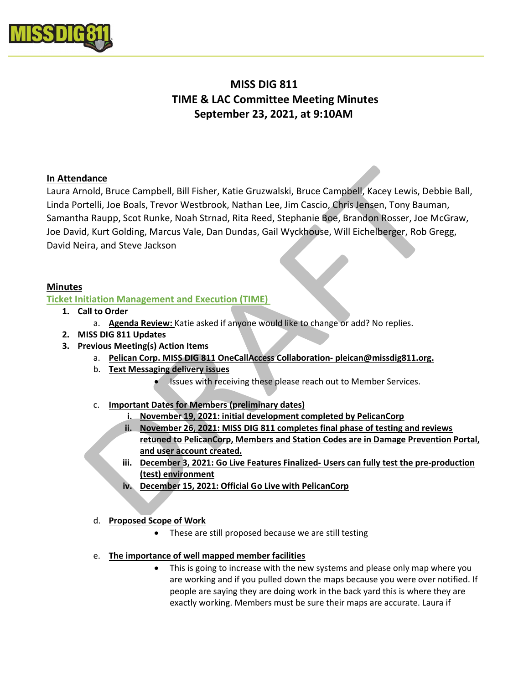

# MISS DIG 811 TIME & LAC Committee Meeting Minutes September 23, 2021, at 9:10AM

# In Attendance

Laura Arnold, Bruce Campbell, Bill Fisher, Katie Gruzwalski, Bruce Campbell, Kacey Lewis, Debbie Ball, Linda Portelli, Joe Boals, Trevor Westbrook, Nathan Lee, Jim Cascio, Chris Jensen, Tony Bauman, Samantha Raupp, Scot Runke, Noah Strnad, Rita Reed, Stephanie Boe, Brandon Rosser, Joe McGraw, Joe David, Kurt Golding, Marcus Vale, Dan Dundas, Gail Wyckhouse, Will Eichelberger, Rob Gregg, David Neira, and Steve Jackson

## Minutes

# Ticket Initiation Management and Execution (TIME)

- 1. Call to Order
	- a. Agenda Review: Katie asked if anyone would like to change or add? No replies.
- 2. MISS DIG 811 Updates
- 3. Previous Meeting(s) Action Items
	- a. Pelican Corp. MISS DIG 811 OneCallAccess Collaboration- pleican@missdig811.org.
	- b. Text Messaging delivery issues
		- Issues with receiving these please reach out to Member Services.
	- c. Important Dates for Members (preliminary dates)
		- i. November 19, 2021: initial development completed by PelicanCorp
		- ii. November 26, 2021: MISS DIG 811 completes final phase of testing and reviews retuned to PelicanCorp, Members and Station Codes are in Damage Prevention Portal, and user account created.
		- iii. December 3, 2021: Go Live Features Finalized- Users can fully test the pre-production (test) environment
		- iv. December 15, 2021: Official Go Live with PelicanCorp

## d. Proposed Scope of Work

- These are still proposed because we are still testing
- e. The importance of well mapped member facilities
	- This is going to increase with the new systems and please only map where you are working and if you pulled down the maps because you were over notified. If people are saying they are doing work in the back yard this is where they are exactly working. Members must be sure their maps are accurate. Laura if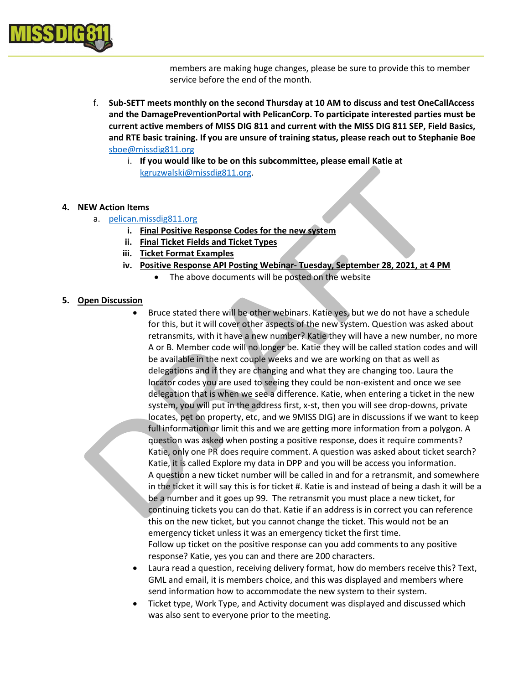

members are making huge changes, please be sure to provide this to member service before the end of the month.

- f. Sub-SETT meets monthly on the second Thursday at 10 AM to discuss and test OneCallAccess and the DamagePreventionPortal with PelicanCorp. To participate interested parties must be current active members of MISS DIG 811 and current with the MISS DIG 811 SEP, Field Basics, and RTE basic training. If you are unsure of training status, please reach out to Stephanie Boe sboe@missdig811.org
	- i. If you would like to be on this subcommittee, please email Katie at kgruzwalski@missdig811.org.

#### 4. NEW Action Items

- a. pelican.missdig811.org
	- i. Final Positive Response Codes for the new system
	- ii. Final Ticket Fields and Ticket Types
	- iii. Ticket Format Examples
	- iv. Positive Response API Posting Webinar- Tuesday, September 28, 2021, at 4 PM
		- The above documents will be posted on the website

#### 5. Open Discussion

- Bruce stated there will be other webinars. Katie yes, but we do not have a schedule for this, but it will cover other aspects of the new system. Question was asked about retransmits, with it have a new number? Katie they will have a new number, no more A or B. Member code will no longer be. Katie they will be called station codes and will be available in the next couple weeks and we are working on that as well as delegations and if they are changing and what they are changing too. Laura the locator codes you are used to seeing they could be non-existent and once we see delegation that is when we see a difference. Katie, when entering a ticket in the new system, you will put in the address first, x-st, then you will see drop-downs, private locates, pet on property, etc, and we 9MISS DIG) are in discussions if we want to keep full information or limit this and we are getting more information from a polygon. A question was asked when posting a positive response, does it require comments? Katie, only one PR does require comment. A question was asked about ticket search? Katie, it is called Explore my data in DPP and you will be access you information. A question a new ticket number will be called in and for a retransmit, and somewhere in the ticket it will say this is for ticket #. Katie is and instead of being a dash it will be a be a number and it goes up 99. The retransmit you must place a new ticket, for continuing tickets you can do that. Katie if an address is in correct you can reference this on the new ticket, but you cannot change the ticket. This would not be an emergency ticket unless it was an emergency ticket the first time. Follow up ticket on the positive response can you add comments to any positive response? Katie, yes you can and there are 200 characters.
- Laura read a question, receiving delivery format, how do members receive this? Text, GML and email, it is members choice, and this was displayed and members where send information how to accommodate the new system to their system.
- Ticket type, Work Type, and Activity document was displayed and discussed which was also sent to everyone prior to the meeting.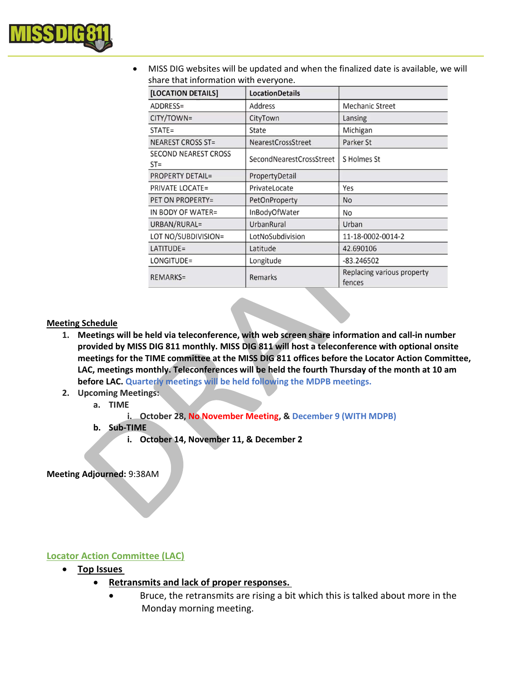

 MISS DIG websites will be updated and when the finalized date is available, we will share that information with everyone.

| [LOCATION DETAILS]                    | <b>LocationDetails</b>   |                                      |
|---------------------------------------|--------------------------|--------------------------------------|
| ADDRESS=                              | Address                  | <b>Mechanic Street</b>               |
| CITY/TOWN=                            | CityTown                 | Lansing                              |
| $STATE =$                             | State                    | Michigan                             |
| <b>NEAREST CROSS ST=</b>              | NearestCrossStreet       | Parker St                            |
| <b>SECOND NEAREST CROSS</b><br>$ST =$ | SecondNearestCrossStreet | S Holmes St                          |
| <b>PROPERTY DETAIL=</b>               | PropertyDetail           |                                      |
| <b>PRIVATE LOCATE=</b>                | PrivateLocate            | Yes                                  |
| PET ON PROPERTY=                      | PetOnProperty            | No                                   |
| IN BODY OF WATER=                     | InBodyOfWater            | No                                   |
| URBAN/RURAL=                          | UrbanRural               | Urban                                |
| LOT NO/SUBDIVISION=                   | LotNoSubdivision         | 11-18-0002-0014-2                    |
| LATITUDE=                             | Latitude                 | 42.690106                            |
| LONGITUDE=                            | Longitude                | $-83.246502$                         |
| <b>REMARKS=</b>                       | Remarks                  | Replacing various property<br>fences |

#### Meeting Schedule

- 1. Meetings will be held via teleconference, with web screen share information and call-in number provided by MISS DIG 811 monthly. MISS DIG 811 will host a teleconference with optional onsite meetings for the TIME committee at the MISS DIG 811 offices before the Locator Action Committee, LAC, meetings monthly. Teleconferences will be held the fourth Thursday of the month at 10 am before LAC. Quarterly meetings will be held following the MDPB meetings.
- 2. Upcoming Meetings:
	- a. TIME

i. October 28, No November Meeting, & December 9 (WITH MDPB)

- b. Sub-TIME
	- i. October 14, November 11, & December 2

Meeting Adjourned: 9:38AM

## Locator Action Committee (LAC)

- Top Issues
	- Retransmits and lack of proper responses.
		- Bruce, the retransmits are rising a bit which this is talked about more in the Monday morning meeting.